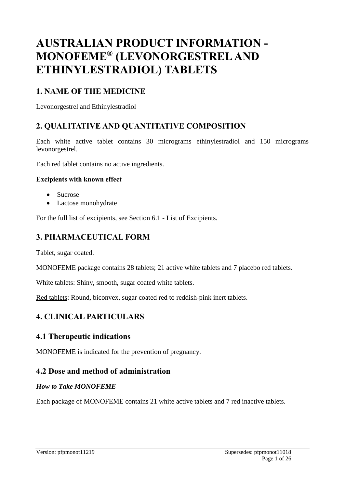# **AUSTRALIAN PRODUCT INFORMATION - MONOFEME® (LEVONORGESTREL AND ETHINYLESTRADIOL) TABLETS**

# **1. NAME OF THE MEDICINE**

Levonorgestrel and Ethinylestradiol

# **2. QUALITATIVE AND QUANTITATIVE COMPOSITION**

Each white active tablet contains 30 micrograms ethinylestradiol and 150 micrograms levonorgestrel.

Each red tablet contains no active ingredients.

#### **Excipients with known effect**

- Sucrose
- Lactose monohydrate

For the full list of excipients, see Section 6.1 - List of Excipients.

# **3. PHARMACEUTICAL FORM**

Tablet, sugar coated.

MONOFEME package contains 28 tablets; 21 active white tablets and 7 placebo red tablets.

White tablets: Shiny, smooth, sugar coated white tablets.

Red tablets: Round, biconvex, sugar coated red to reddish-pink inert tablets.

# **4. CLINICAL PARTICULARS**

# **4.1 Therapeutic indications**

MONOFEME is indicated for the prevention of pregnancy.

# **4.2 Dose and method of administration**

#### *How to Take MONOFEME*

Each package of MONOFEME contains 21 white active tablets and 7 red inactive tablets.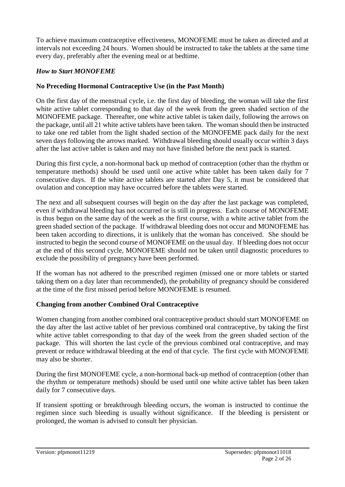To achieve maximum contraceptive effectiveness, MONOFEME must be taken as directed and at intervals not exceeding 24 hours. Women should be instructed to take the tablets at the same time every day, preferably after the evening meal or at bedtime.

### *How to Start MONOFEME*

### **No Preceding Hormonal Contraceptive Use (in the Past Month)**

On the first day of the menstrual cycle, i.e. the first day of bleeding, the woman will take the first white active tablet corresponding to that day of the week from the green shaded section of the MONOFEME package. Thereafter, one white active tablet is taken daily, following the arrows on the package, until all 21 white active tablets have been taken. The woman should then be instructed to take one red tablet from the light shaded section of the MONOFEME pack daily for the next seven days following the arrows marked. Withdrawal bleeding should usually occur within 3 days after the last active tablet is taken and may not have finished before the next pack is started.

During this first cycle, a non-hormonal back up method of contraception (other than the rhythm or temperature methods) should be used until one active white tablet has been taken daily for 7 consecutive days. If the white active tablets are started after Day 5, it must be considered that ovulation and conception may have occurred before the tablets were started.

The next and all subsequent courses will begin on the day after the last package was completed, even if withdrawal bleeding has not occurred or is still in progress. Each course of MONOFEME is thus begun on the same day of the week as the first course, with a white active tablet from the green shaded section of the package. If withdrawal bleeding does not occur and MONOFEME has been taken according to directions, it is unlikely that the woman has conceived. She should be instructed to begin the second course of MONOFEME on the usual day. If bleeding does not occur at the end of this second cycle, MONOFEME should not be taken until diagnostic procedures to exclude the possibility of pregnancy have been performed.

If the woman has not adhered to the prescribed regimen (missed one or more tablets or started taking them on a day later than recommended), the probability of pregnancy should be considered at the time of the first missed period before MONOFEME is resumed.

### **Changing from another Combined Oral Contraceptive**

Women changing from another combined oral contraceptive product should start MONOFEME on the day after the last active tablet of her previous combined oral contraceptive, by taking the first white active tablet corresponding to that day of the week from the green shaded section of the package. This will shorten the last cycle of the previous combined oral contraceptive, and may prevent or reduce withdrawal bleeding at the end of that cycle. The first cycle with MONOFEME may also be shorter.

During the first MONOFEME cycle, a non-hormonal back-up method of contraception (other than the rhythm or temperature methods) should be used until one white active tablet has been taken daily for 7 consecutive days.

If transient spotting or breakthrough bleeding occurs, the woman is instructed to continue the regimen since such bleeding is usually without significance. If the bleeding is persistent or prolonged, the woman is advised to consult her physician.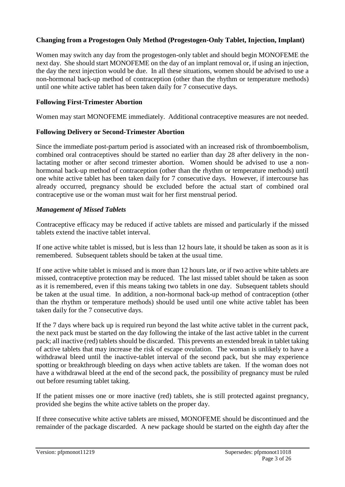### **Changing from a Progestogen Only Method (Progestogen-Only Tablet, Injection, Implant)**

Women may switch any day from the progestogen-only tablet and should begin MONOFEME the next day. She should start MONOFEME on the day of an implant removal or, if using an injection, the day the next injection would be due. In all these situations, women should be advised to use a non-hormonal back-up method of contraception (other than the rhythm or temperature methods) until one white active tablet has been taken daily for 7 consecutive days.

### **Following First-Trimester Abortion**

Women may start MONOFEME immediately. Additional contraceptive measures are not needed.

### **Following Delivery or Second-Trimester Abortion**

Since the immediate post-partum period is associated with an increased risk of thromboembolism, combined oral contraceptives should be started no earlier than day 28 after delivery in the nonlactating mother or after second trimester abortion. Women should be advised to use a nonhormonal back-up method of contraception (other than the rhythm or temperature methods) until one white active tablet has been taken daily for 7 consecutive days. However, if intercourse has already occurred, pregnancy should be excluded before the actual start of combined oral contraceptive use or the woman must wait for her first menstrual period.

### *Management of Missed Tablets*

Contraceptive efficacy may be reduced if active tablets are missed and particularly if the missed tablets extend the inactive tablet interval.

If one active white tablet is missed, but is less than 12 hours late, it should be taken as soon as it is remembered. Subsequent tablets should be taken at the usual time.

If one active white tablet is missed and is more than 12 hours late, or if two active white tablets are missed, contraceptive protection may be reduced. The last missed tablet should be taken as soon as it is remembered, even if this means taking two tablets in one day. Subsequent tablets should be taken at the usual time. In addition, a non-hormonal back-up method of contraception (other than the rhythm or temperature methods) should be used until one white active tablet has been taken daily for the 7 consecutive days.

If the 7 days where back up is required run beyond the last white active tablet in the current pack, the next pack must be started on the day following the intake of the last active tablet in the current pack; all inactive (red) tablets should be discarded. This prevents an extended break in tablet taking of active tablets that may increase the risk of escape ovulation. The woman is unlikely to have a withdrawal bleed until the inactive-tablet interval of the second pack, but she may experience spotting or breakthrough bleeding on days when active tablets are taken. If the woman does not have a withdrawal bleed at the end of the second pack, the possibility of pregnancy must be ruled out before resuming tablet taking.

If the patient misses one or more inactive (red) tablets, she is still protected against pregnancy, provided she begins the white active tablets on the proper day.

If three consecutive white active tablets are missed, MONOFEME should be discontinued and the remainder of the package discarded. A new package should be started on the eighth day after the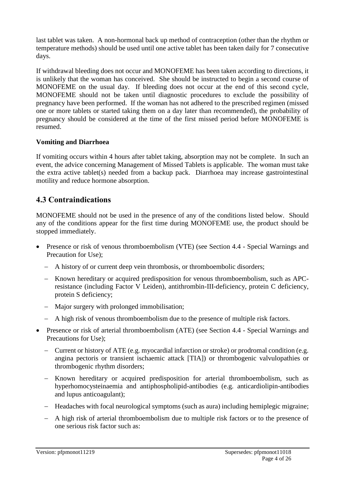last tablet was taken. A non-hormonal back up method of contraception (other than the rhythm or temperature methods) should be used until one active tablet has been taken daily for 7 consecutive days.

If withdrawal bleeding does not occur and MONOFEME has been taken according to directions, it is unlikely that the woman has conceived. She should be instructed to begin a second course of MONOFEME on the usual day. If bleeding does not occur at the end of this second cycle, MONOFEME should not be taken until diagnostic procedures to exclude the possibility of pregnancy have been performed. If the woman has not adhered to the prescribed regimen (missed one or more tablets or started taking them on a day later than recommended), the probability of pregnancy should be considered at the time of the first missed period before MONOFEME is resumed.

### **Vomiting and Diarrhoea**

If vomiting occurs within 4 hours after tablet taking, absorption may not be complete. In such an event, the advice concerning Management of Missed Tablets is applicable. The woman must take the extra active tablet(s) needed from a backup pack. Diarrhoea may increase gastrointestinal motility and reduce hormone absorption.

# **4.3 Contraindications**

MONOFEME should not be used in the presence of any of the conditions listed below. Should any of the conditions appear for the first time during MONOFEME use, the product should be stopped immediately.

- Presence or risk of venous thromboembolism (VTE) (see Section 4.4 Special Warnings and Precaution for Use);
	- A history of or current deep vein thrombosis, or thromboembolic disorders;
	- Known hereditary or acquired predisposition for venous thromboembolism, such as APCresistance (including Factor V Leiden), antithrombin-III-deficiency, protein C deficiency, protein S deficiency;
	- Major surgery with prolonged immobilisation;
	- A high risk of venous thromboembolism due to the presence of multiple risk factors.
- Presence or risk of arterial thromboembolism (ATE) (see Section 4.4 Special Warnings and Precautions for Use);
	- Current or history of ATE (e.g. myocardial infarction or stroke) or prodromal condition (e.g. angina pectoris or transient ischaemic attack [TIA]) or thrombogenic valvulopathies or thrombogenic rhythm disorders;
	- Known hereditary or acquired predisposition for arterial thromboembolism, such as hyperhomocysteinaemia and antiphospholipid-antibodies (e.g. anticardiolipin-antibodies and lupus anticoagulant);
	- Headaches with focal neurological symptoms (such as aura) including hemiplegic migraine;
	- A high risk of arterial thromboembolism due to multiple risk factors or to the presence of one serious risk factor such as: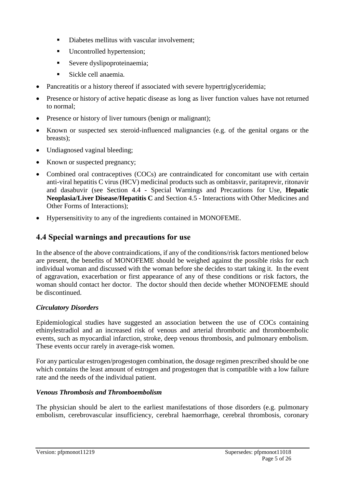- Diabetes mellitus with vascular involvement;
- Uncontrolled hypertension;
- Severe dyslipoproteinaemia;
- Sickle cell anaemia.
- Pancreatitis or a history thereof if associated with severe hypertriglyceridemia;
- Presence or history of active hepatic disease as long as liver function values have not returned to normal;
- Presence or history of liver tumours (benign or malignant);
- Known or suspected sex steroid-influenced malignancies (e.g. of the genital organs or the breasts);
- Undiagnosed vaginal bleeding;
- Known or suspected pregnancy;
- Combined oral contraceptives (COCs) are contraindicated for concomitant use with certain anti-viral hepatitis C virus (HCV) medicinal products such as ombitasvir, paritaprevir, ritonavir and dasabuvir (see Section 4.4 - Special Warnings and Precautions for Use, **Hepatic Neoplasia/Liver Disease/Hepatitis C** and Section 4.5 - Interactions with Other Medicines and Other Forms of Interactions);
- Hypersensitivity to any of the ingredients contained in MONOFEME.

# **4.4 Special warnings and precautions for use**

In the absence of the above contraindications, if any of the conditions/risk factors mentioned below are present, the benefits of MONOFEME should be weighed against the possible risks for each individual woman and discussed with the woman before she decides to start taking it. In the event of aggravation, exacerbation or first appearance of any of these conditions or risk factors, the woman should contact her doctor. The doctor should then decide whether MONOFEME should be discontinued.

# *Circulatory Disorders*

Epidemiological studies have suggested an association between the use of COCs containing ethinylestradiol and an increased risk of venous and arterial thrombotic and thromboembolic events, such as myocardial infarction, stroke, deep venous thrombosis, and pulmonary embolism. These events occur rarely in average-risk women.

For any particular estrogen/progestogen combination, the dosage regimen prescribed should be one which contains the least amount of estrogen and progestogen that is compatible with a low failure rate and the needs of the individual patient.

# *Venous Thrombosis and Thromboembolism*

The physician should be alert to the earliest manifestations of those disorders (e.g. pulmonary embolism, cerebrovascular insufficiency, cerebral haemorrhage, cerebral thrombosis, coronary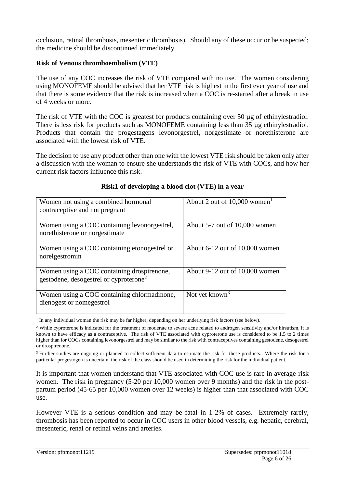occlusion, retinal thrombosis, mesenteric thrombosis). Should any of these occur or be suspected; the medicine should be discontinued immediately.

#### **Risk of Venous thromboembolism (VTE)**

The use of any COC increases the risk of VTE compared with no use. The women considering using MONOFEME should be advised that her VTE risk is highest in the first ever year of use and that there is some evidence that the risk is increased when a COC is re-started after a break in use of 4 weeks or more.

The risk of VTE with the COC is greatest for products containing over 50 µg of ethinylestradiol. There is less risk for products such as MONOFEME containing less than 35 µg ethinylestradiol. Products that contain the progestagens levonorgestrel, norgestimate or norethisterone are associated with the lowest risk of VTE.

The decision to use any product other than one with the lowest VTE risk should be taken only after a discussion with the woman to ensure she understands the risk of VTE with COCs, and how her current risk factors influence this risk.

| Women not using a combined hormonal<br>contraceptive and not pregnant                            | About 2 out of $10,000$ women <sup>1</sup> |
|--------------------------------------------------------------------------------------------------|--------------------------------------------|
| Women using a COC containing levonorgestrel,<br>norethisterone or norgestimate                   | About 5-7 out of 10,000 women              |
| Women using a COC containing etonogestrel or<br>norelgestromin                                   | About $6-12$ out of $10,000$ women         |
| Women using a COC containing drospirenone,<br>gestodene, desogestrel or cyproterone <sup>2</sup> | About 9-12 out of 10,000 women             |
| Women using a COC containing chlormadinone,<br>dienogest or nomegestrol                          | Not yet known <sup>3</sup>                 |

### **Risk1 of developing a blood clot (VTE) in a year**

<sup>1</sup> In any individual woman the risk may be far higher, depending on her underlying risk factors (see below).

<sup>3</sup> Further studies are ongoing or planned to collect sufficient data to estimate the risk for these products. Where the risk for a particular progestogen is uncertain, the risk of the class should be used in determining the risk for the individual patient.

It is important that women understand that VTE associated with COC use is rare in average-risk women. The risk in pregnancy (5-20 per 10,000 women over 9 months) and the risk in the postpartum period (45-65 per 10,000 women over 12 weeks) is higher than that associated with COC use.

However VTE is a serious condition and may be fatal in 1-2% of cases. Extremely rarely, thrombosis has been reported to occur in COC users in other blood vessels, e.g. hepatic, cerebral, mesenteric, renal or retinal veins and arteries.

<sup>&</sup>lt;sup>2</sup> While cyproterone is indicated for the treatment of moderate to severe acne related to androgen sensitivity and/or hirsutism, it is known to have efficacy as a contraceptive. The risk of VTE associated with cyproterone use is considered to be 1.5 to 2 times higher than for COCs containing levonorgestrel and may be similar to the risk with contraceptives containing gestodene, desogestrel or drospirenone.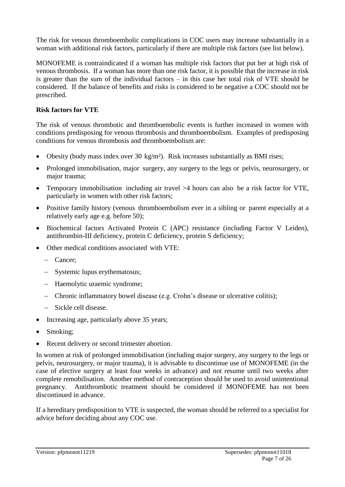The risk for venous thromboembolic complications in COC users may increase substantially in a woman with additional risk factors, particularly if there are multiple risk factors (see list below).

MONOFEME is contraindicated if a woman has multiple risk factors that put her at high risk of venous thrombosis. If a woman has more than one risk factor, it is possible that the increase in risk is greater than the sum of the individual factors – in this case her total risk of VTE should be considered. If the balance of benefits and risks is considered to be negative a COC should not be prescribed.

#### **Risk factors for VTE**

The risk of venous thrombotic and thromboembolic events is further increased in women with conditions predisposing for venous thrombosis and thromboembolism. Examples of predisposing conditions for venous thrombosis and thromboembolism are:

- Obesity (body mass index over 30 kg/m²). Risk increases substantially as BMI rises;
- Prolonged immobilisation, major surgery, any surgery to the legs or pelvis, neurosurgery, or major trauma;
- Temporary immobilisation including air travel >4 hours can also be a risk factor for VTE, particularly in women with other risk factors;
- Positive family history (venous thromboembolism ever in a sibling or parent especially at a relatively early age e.g. before 50);
- Biochemical factors Activated Protein C (APC) resistance (including Factor V Leiden), antithrombin-III deficiency, protein C deficiency, protein S deficiency;
- Other medical conditions associated with VTE:
	- Cancer;
	- Systemic lupus erythematosus;
	- Haemolytic uraemic syndrome;
	- Chronic inflammatory bowel disease (e.g. Crohn's disease or ulcerative colitis);
	- Sickle cell disease.
- Increasing age, particularly above 35 years;
- Smoking;
- Recent delivery or second trimester abortion.

In women at risk of prolonged immobilisation (including major surgery, any surgery to the legs or pelvis, neurosurgery, or major trauma), it is advisable to discontinue use of MONOFEME (in the case of elective surgery at least four weeks in advance) and not resume until two weeks after complete remobilisation. Another method of contraception should be used to avoid unintentional pregnancy. Antithrombotic treatment should be considered if MONOFEME has not been discontinued in advance.

If a hereditary predisposition to VTE is suspected, the woman should be referred to a specialist for advice before deciding about any COC use.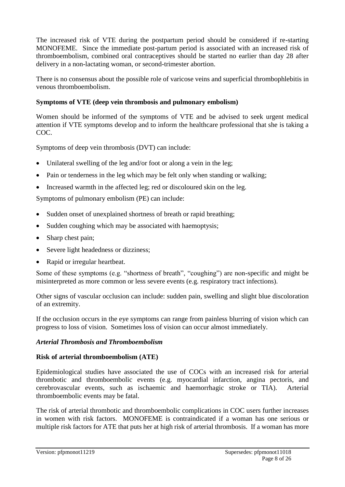The increased risk of VTE during the postpartum period should be considered if re-starting MONOFEME. Since the immediate post-partum period is associated with an increased risk of thromboembolism, combined oral contraceptives should be started no earlier than day 28 after delivery in a non-lactating woman, or second-trimester abortion.

There is no consensus about the possible role of varicose veins and superficial thrombophlebitis in venous thromboembolism.

### **Symptoms of VTE (deep vein thrombosis and pulmonary embolism)**

Women should be informed of the symptoms of VTE and be advised to seek urgent medical attention if VTE symptoms develop and to inform the healthcare professional that she is taking a COC.

Symptoms of deep vein thrombosis (DVT) can include:

- Unilateral swelling of the leg and/or foot or along a vein in the leg:
- Pain or tenderness in the leg which may be felt only when standing or walking;
- Increased warmth in the affected leg; red or discoloured skin on the leg.

Symptoms of pulmonary embolism (PE) can include:

- Sudden onset of unexplained shortness of breath or rapid breathing;
- Sudden coughing which may be associated with haemoptysis;
- Sharp chest pain;
- Severe light headedness or dizziness;
- Rapid or irregular heartbeat.

Some of these symptoms (e.g. "shortness of breath", "coughing") are non-specific and might be misinterpreted as more common or less severe events (e.g. respiratory tract infections).

Other signs of vascular occlusion can include: sudden pain, swelling and slight blue discoloration of an extremity.

If the occlusion occurs in the eye symptoms can range from painless blurring of vision which can progress to loss of vision. Sometimes loss of vision can occur almost immediately.

### *Arterial Thrombosis and Thromboembolism*

### **Risk of arterial thromboembolism (ATE)**

Epidemiological studies have associated the use of COCs with an increased risk for arterial thrombotic and thromboembolic events (e.g. myocardial infarction, angina pectoris, and cerebrovascular events, such as ischaemic and haemorrhagic stroke or TIA). Arterial thromboembolic events may be fatal.

The risk of arterial thrombotic and thromboembolic complications in COC users further increases in women with risk factors. MONOFEME is contraindicated if a woman has one serious or multiple risk factors for ATE that puts her at high risk of arterial thrombosis. If a woman has more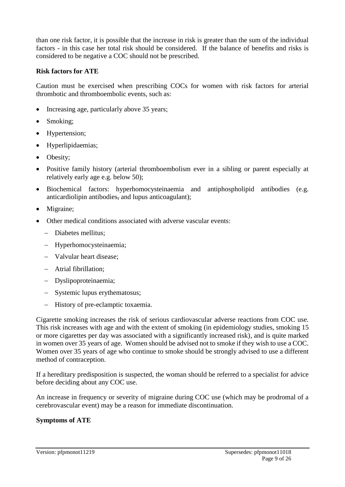than one risk factor, it is possible that the increase in risk is greater than the sum of the individual factors - in this case her total risk should be considered. If the balance of benefits and risks is considered to be negative a COC should not be prescribed.

#### **Risk factors for ATE**

Caution must be exercised when prescribing COCs for women with risk factors for arterial thrombotic and thromboembolic events, such as:

- Increasing age, particularly above 35 years;
- Smoking;
- Hypertension;
- Hyperlipidaemias;
- Obesity;
- Positive family history (arterial thromboembolism ever in a sibling or parent especially at relatively early age e.g. below 50);
- Biochemical factors: hyperhomocysteinaemia and antiphospholipid antibodies (e.g. anticardiolipin antibodies, and lupus anticoagulant);
- Migraine;
- Other medical conditions associated with adverse vascular events:
	- Diabetes mellitus;
	- Hyperhomocysteinaemia;
	- Valvular heart disease:
	- Atrial fibrillation;
	- Dyslipoproteinaemia;
	- Systemic lupus erythematosus;
	- History of pre-eclamptic toxaemia.

Cigarette smoking increases the risk of serious cardiovascular adverse reactions from COC use. This risk increases with age and with the extent of smoking (in epidemiology studies, smoking 15 or more cigarettes per day was associated with a significantly increased risk), and is quite marked in women over 35 years of age. Women should be advised not to smoke if they wish to use a COC. Women over 35 years of age who continue to smoke should be strongly advised to use a different method of contraception.

If a hereditary predisposition is suspected, the woman should be referred to a specialist for advice before deciding about any COC use.

An increase in frequency or severity of migraine during COC use (which may be prodromal of a cerebrovascular event) may be a reason for immediate discontinuation.

#### **Symptoms of ATE**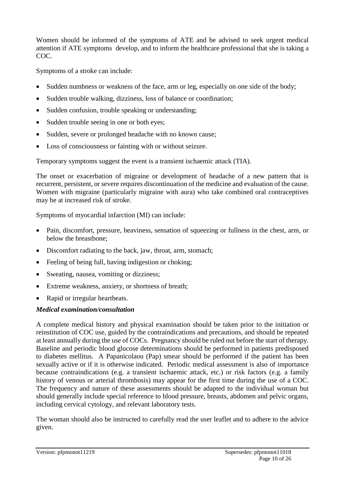Women should be informed of the symptoms of ATE and be advised to seek urgent medical attention if ATE symptoms develop, and to inform the healthcare professional that she is taking a COC.

Symptoms of a stroke can include:

- Sudden numbness or weakness of the face, arm or leg, especially on one side of the body;
- Sudden trouble walking, dizziness, loss of balance or coordination;
- Sudden confusion, trouble speaking or understanding;
- Sudden trouble seeing in one or both eyes;
- Sudden, severe or prolonged headache with no known cause;
- Loss of consciousness or fainting with or without seizure.

Temporary symptoms suggest the event is a transient ischaemic attack (TIA).

The onset or exacerbation of migraine or development of headache of a new pattern that is recurrent, persistent, or severe requires discontinuation of the medicine and evaluation of the cause. Women with migraine (particularly migraine with aura) who take combined oral contraceptives may be at increased risk of stroke.

Symptoms of myocardial infarction (MI) can include:

- Pain, discomfort, pressure, heaviness, sensation of squeezing or fullness in the chest, arm, or below the breastbone;
- Discomfort radiating to the back, jaw, throat, arm, stomach;
- Feeling of being full, having indigestion or choking;
- Sweating, nausea, vomiting or dizziness;
- Extreme weakness, anxiety, or shortness of breath;
- Rapid or irregular heartbeats.

# *Medical examination/consultation*

A complete medical history and physical examination should be taken prior to the initiation or reinstitution of COC use, guided by the contraindications and precautions, and should be repeated at least annually during the use of COCs. Pregnancy should be ruled out before the start of therapy. Baseline and periodic blood glucose determinations should be performed in patients predisposed to diabetes mellitus. A Papanicolaou (Pap) smear should be performed if the patient has been sexually active or if it is otherwise indicated. Periodic medical assessment is also of importance because contraindications (e.g. a transient ischaemic attack, etc.) or risk factors (e.g. a family history of venous or arterial thrombosis) may appear for the first time during the use of a COC. The frequency and nature of these assessments should be adapted to the individual woman but should generally include special reference to blood pressure, breasts, abdomen and pelvic organs, including cervical cytology, and relevant laboratory tests.

The woman should also be instructed to carefully read the user leaflet and to adhere to the advice given.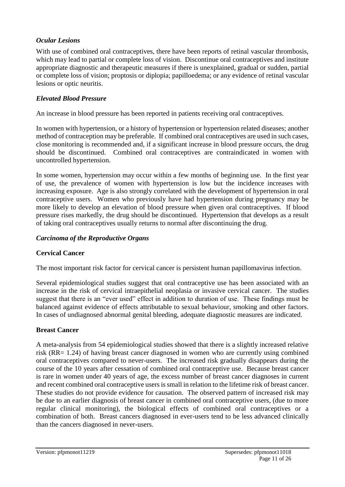### *Ocular Lesions*

With use of combined oral contraceptives, there have been reports of retinal vascular thrombosis, which may lead to partial or complete loss of vision. Discontinue oral contraceptives and institute appropriate diagnostic and therapeutic measures if there is unexplained, gradual or sudden, partial or complete loss of vision; proptosis or diplopia; papilloedema; or any evidence of retinal vascular lesions or optic neuritis.

### *Elevated Blood Pressure*

An increase in blood pressure has been reported in patients receiving oral contraceptives.

In women with hypertension, or a history of hypertension or hypertension related diseases; another method of contraception may be preferable. If combined oral contraceptives are used in such cases, close monitoring is recommended and, if a significant increase in blood pressure occurs, the drug should be discontinued. Combined oral contraceptives are contraindicated in women with uncontrolled hypertension.

In some women, hypertension may occur within a few months of beginning use. In the first year of use, the prevalence of women with hypertension is low but the incidence increases with increasing exposure. Age is also strongly correlated with the development of hypertension in oral contraceptive users. Women who previously have had hypertension during pregnancy may be more likely to develop an elevation of blood pressure when given oral contraceptives. If blood pressure rises markedly, the drug should be discontinued. Hypertension that develops as a result of taking oral contraceptives usually returns to normal after discontinuing the drug.

### *Carcinoma of the Reproductive Organs*

### **Cervical Cancer**

The most important risk factor for cervical cancer is persistent human papillomavirus infection.

Several epidemiological studies suggest that oral contraceptive use has been associated with an increase in the risk of cervical intraepithelial neoplasia or invasive cervical cancer. The studies suggest that there is an "ever used" effect in addition to duration of use. These findings must be balanced against evidence of effects attributable to sexual behaviour, smoking and other factors. In cases of undiagnosed abnormal genital bleeding, adequate diagnostic measures are indicated.

#### **Breast Cancer**

A meta-analysis from 54 epidemiological studies showed that there is a slightly increased relative risk (RR= 1.24) of having breast cancer diagnosed in women who are currently using combined oral contraceptives compared to never-users. The increased risk gradually disappears during the course of the 10 years after cessation of combined oral contraceptive use. Because breast cancer is rare in women under 40 years of age, the excess number of breast cancer diagnoses in current and recent combined oral contraceptive users is small in relation to the lifetime risk of breast cancer. These studies do not provide evidence for causation. The observed pattern of increased risk may be due to an earlier diagnosis of breast cancer in combined oral contraceptive users, (due to more regular clinical monitoring), the biological effects of combined oral contraceptives or a combination of both. Breast cancers diagnosed in ever-users tend to be less advanced clinically than the cancers diagnosed in never-users.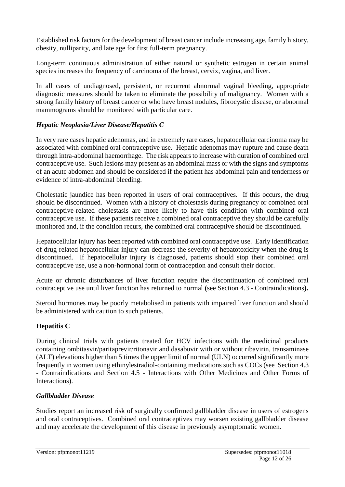Established risk factors for the development of breast cancer include increasing age, family history, obesity, nulliparity, and late age for first full-term pregnancy.

Long-term continuous administration of either natural or synthetic estrogen in certain animal species increases the frequency of carcinoma of the breast, cervix, vagina, and liver.

In all cases of undiagnosed, persistent, or recurrent abnormal vaginal bleeding, appropriate diagnostic measures should be taken to eliminate the possibility of malignancy. Women with a strong family history of breast cancer or who have breast nodules, fibrocystic disease, or abnormal mammograms should be monitored with particular care.

### *Hepatic Neoplasia/Liver Disease/Hepatitis C*

In very rare cases hepatic adenomas, and in extremely rare cases, hepatocellular carcinoma may be associated with combined oral contraceptive use. Hepatic adenomas may rupture and cause death through intra-abdominal haemorrhage. The risk appears to increase with duration of combined oral contraceptive use. Such lesions may present as an abdominal mass or with the signs and symptoms of an acute abdomen and should be considered if the patient has abdominal pain and tenderness or evidence of intra-abdominal bleeding.

Cholestatic jaundice has been reported in users of oral contraceptives. If this occurs, the drug should be discontinued. Women with a history of cholestasis during pregnancy or combined oral contraceptive-related cholestasis are more likely to have this condition with combined oral contraceptive use. If these patients receive a combined oral contraceptive they should be carefully monitored and, if the condition recurs, the combined oral contraceptive should be discontinued.

Hepatocellular injury has been reported with combined oral contraceptive use. Early identification of drug-related hepatocellular injury can decrease the severity of hepatotoxicity when the drug is discontinued. If hepatocellular injury is diagnosed, patients should stop their combined oral contraceptive use, use a non-hormonal form of contraception and consult their doctor.

Acute or chronic disturbances of liver function require the discontinuation of combined oral contraceptive use until liver function has returned to normal **(**see Section 4.3 - Contraindications**).**

Steroid hormones may be poorly metabolised in patients with impaired liver function and should be administered with caution to such patients.

### **Hepatitis C**

During clinical trials with patients treated for HCV infections with the medicinal products containing ombitasvir/paritaprevir/ritonavir and dasabuvir with or without ribavirin, transaminase (ALT) elevations higher than 5 times the upper limit of normal (ULN) occurred significantly more frequently in women using ethinylestradiol-containing medications such as COCs (see Section 4.3 - Contraindications and Section 4.5 - Interactions with Other Medicines and Other Forms of Interactions).

#### *Gallbladder Disease*

Studies report an increased risk of surgically confirmed gallbladder disease in users of estrogens and oral contraceptives. Combined oral contraceptives may worsen existing gallbladder disease and may accelerate the development of this disease in previously asymptomatic women.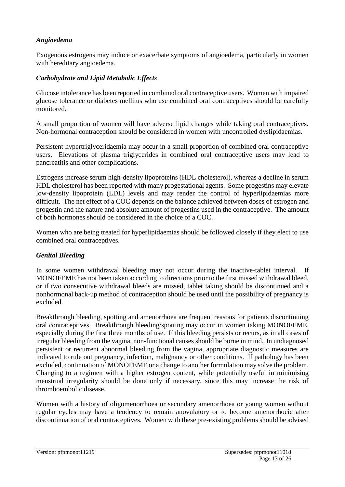### *Angioedema*

Exogenous estrogens may induce or exacerbate symptoms of angioedema, particularly in women with hereditary angioedema.

### *Carbohydrate and Lipid Metabolic Effects*

Glucose intolerance has been reported in combined oral contraceptive users. Women with impaired glucose tolerance or diabetes mellitus who use combined oral contraceptives should be carefully monitored.

A small proportion of women will have adverse lipid changes while taking oral contraceptives. Non-hormonal contraception should be considered in women with uncontrolled dyslipidaemias.

Persistent hypertriglyceridaemia may occur in a small proportion of combined oral contraceptive users. Elevations of plasma triglycerides in combined oral contraceptive users may lead to pancreatitis and other complications.

Estrogens increase serum high-density lipoproteins (HDL cholesterol), whereas a decline in serum HDL cholesterol has been reported with many progestational agents. Some progestins may elevate low-density lipoprotein (LDL) levels and may render the control of hyperlipidaemias more difficult. The net effect of a COC depends on the balance achieved between doses of estrogen and progestin and the nature and absolute amount of progestins used in the contraceptive. The amount of both hormones should be considered in the choice of a COC.

Women who are being treated for hyperlipidaemias should be followed closely if they elect to use combined oral contraceptives.

#### *Genital Bleeding*

In some women withdrawal bleeding may not occur during the inactive-tablet interval. If MONOFEME has not been taken according to directions prior to the first missed withdrawal bleed, or if two consecutive withdrawal bleeds are missed, tablet taking should be discontinued and a nonhormonal back-up method of contraception should be used until the possibility of pregnancy is excluded.

Breakthrough bleeding, spotting and amenorrhoea are frequent reasons for patients discontinuing oral contraceptives. Breakthrough bleeding/spotting may occur in women taking MONOFEME, especially during the first three months of use. If this bleeding persists or recurs, as in all cases of irregular bleeding from the vagina, non-functional causes should be borne in mind. In undiagnosed persistent or recurrent abnormal bleeding from the vagina, appropriate diagnostic measures are indicated to rule out pregnancy, infection, malignancy or other conditions. If pathology has been excluded, continuation of MONOFEME or a change to another formulation may solve the problem. Changing to a regimen with a higher estrogen content, while potentially useful in minimising menstrual irregularity should be done only if necessary, since this may increase the risk of thromboembolic disease.

Women with a history of oligomenorrhoea or secondary amenorrhoea or young women without regular cycles may have a tendency to remain anovulatory or to become amenorrhoeic after discontinuation of oral contraceptives. Women with these pre-existing problems should be advised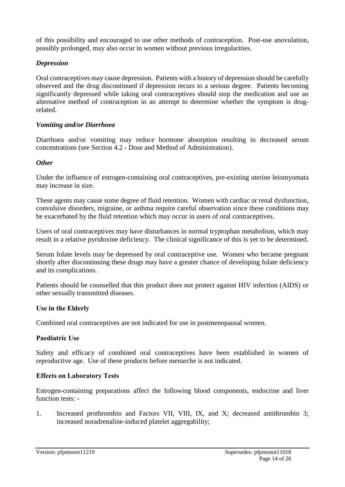of this possibility and encouraged to use other methods of contraception. Post-use anovulation, possibly prolonged, may also occur in women without previous irregularities.

### *Depression*

Oral contraceptives may cause depression. Patients with a history of depression should be carefully observed and the drug discontinued if depression recurs to a serious degree. Patients becoming significantly depressed while taking oral contraceptives should stop the medication and use an alternative method of contraception in an attempt to determine whether the symptom is drugrelated.

### *Vomiting and/or Diarrhoea*

Diarrhoea and/or vomiting may reduce hormone absorption resulting in decreased serum concentrations (see Section 4.2 - Dose and Method of Administration).

### *Other*

Under the influence of estrogen-containing oral contraceptives, pre-existing uterine leiomyomata may increase in size.

These agents may cause some degree of fluid retention. Women with cardiac or renal dysfunction, convulsive disorders, migraine, or asthma require careful observation since these conditions may be exacerbated by the fluid retention which may occur in users of oral contraceptives.

Users of oral contraceptives may have disturbances in normal tryptophan metabolism, which may result in a relative pyridoxine deficiency. The clinical significance of this is yet to be determined.

Serum folate levels may be depressed by oral contraceptive use. Women who became pregnant shortly after discontinuing these drugs may have a greater chance of developing folate deficiency and its complications.

Patients should be counselled that this product does not protect against HIV infection (AIDS) or other sexually transmitted diseases.

#### **Use in the Elderly**

Combined oral contraceptives are not indicated for use in postmenopausal women.

#### **Paediatric Use**

Safety and efficacy of combined oral contraceptives have been established in women of reproductive age. Use of these products before menarche is not indicated.

#### **Effects on Laboratory Tests**

Estrogen-containing preparations affect the following blood components, endocrine and liver function tests: -

1. Increased prothrombin and Factors VII, VIII, IX, and X; decreased antithrombin 3; increased noradrenaline-induced platelet aggregability;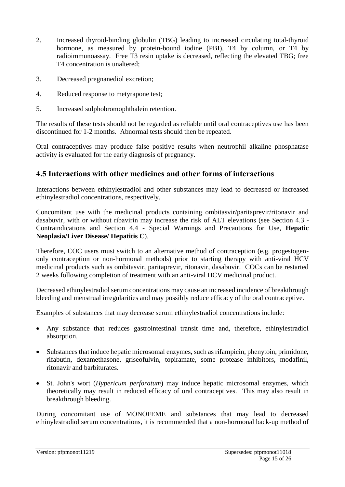- 2. Increased thyroid-binding globulin (TBG) leading to increased circulating total-thyroid hormone, as measured by protein-bound iodine (PBI), T4 by column, or T4 by radioimmunoassay. Free T3 resin uptake is decreased, reflecting the elevated TBG; free T4 concentration is unaltered;
- 3. Decreased pregnanediol excretion;
- 4. Reduced response to metyrapone test;
- 5. Increased sulphobromophthalein retention.

The results of these tests should not be regarded as reliable until oral contraceptives use has been discontinued for 1-2 months. Abnormal tests should then be repeated.

Oral contraceptives may produce false positive results when neutrophil alkaline phosphatase activity is evaluated for the early diagnosis of pregnancy.

# **4.5 Interactions with other medicines and other forms of interactions**

Interactions between ethinylestradiol and other substances may lead to decreased or increased ethinylestradiol concentrations, respectively.

Concomitant use with the medicinal products containing ombitasvir/paritaprevir/ritonavir and dasabuvir, with or without ribavirin may increase the risk of ALT elevations (see Section 4.3 - Contraindications and Section 4.4 - Special Warnings and Precautions for Use, **Hepatic Neoplasia/Liver Disease/ Hepatitis C**).

Therefore, COC users must switch to an alternative method of contraception (e.g. progestogenonly contraception or non-hormonal methods) prior to starting therapy with anti-viral HCV medicinal products such as ombitasvir, paritaprevir, ritonavir, dasabuvir. COCs can be restarted 2 weeks following completion of treatment with an anti-viral HCV medicinal product.

Decreased ethinylestradiol serum concentrations may cause an increased incidence of breakthrough bleeding and menstrual irregularities and may possibly reduce efficacy of the oral contraceptive.

Examples of substances that may decrease serum ethinylestradiol concentrations include:

- Any substance that reduces gastrointestinal transit time and, therefore, ethinylestradiol absorption.
- Substances that induce hepatic microsomal enzymes, such as rifampicin, phenytoin, primidone, rifabutin, dexamethasone, griseofulvin, topiramate, some protease inhibitors, modafinil, ritonavir and barbiturates.
- St. John's wort (*Hypericum perforatum*) may induce hepatic microsomal enzymes, which theoretically may result in reduced efficacy of oral contraceptives. This may also result in breakthrough bleeding.

During concomitant use of MONOFEME and substances that may lead to decreased ethinylestradiol serum concentrations, it is recommended that a non-hormonal back-up method of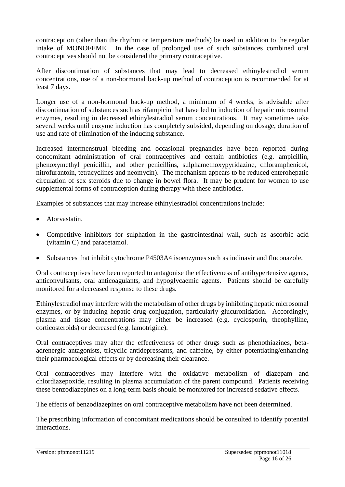contraception (other than the rhythm or temperature methods) be used in addition to the regular intake of MONOFEME. In the case of prolonged use of such substances combined oral contraceptives should not be considered the primary contraceptive.

After discontinuation of substances that may lead to decreased ethinylestradiol serum concentrations, use of a non-hormonal back-up method of contraception is recommended for at least 7 days.

Longer use of a non-hormonal back-up method, a minimum of 4 weeks, is advisable after discontinuation of substances such as rifampicin that have led to induction of hepatic microsomal enzymes, resulting in decreased ethinylestradiol serum concentrations. It may sometimes take several weeks until enzyme induction has completely subsided, depending on dosage, duration of use and rate of elimination of the inducing substance.

Increased intermenstrual bleeding and occasional pregnancies have been reported during concomitant administration of oral contraceptives and certain antibiotics (e.g. ampicillin, phenoxymethyl penicillin, and other penicillins, sulphamethoxypyridazine, chloramphenicol, nitrofurantoin, tetracyclines and neomycin). The mechanism appears to be reduced enterohepatic circulation of sex steroids due to change in bowel flora. It may be prudent for women to use supplemental forms of contraception during therapy with these antibiotics.

Examples of substances that may increase ethinylestradiol concentrations include:

- Atorvastatin.
- Competitive inhibitors for sulphation in the gastrointestinal wall, such as ascorbic acid (vitamin C) and paracetamol.
- Substances that inhibit cytochrome P4503A4 isoenzymes such as indinavir and fluconazole.

Oral contraceptives have been reported to antagonise the effectiveness of antihypertensive agents, anticonvulsants, oral anticoagulants, and hypoglycaemic agents. Patients should be carefully monitored for a decreased response to these drugs.

Ethinylestradiol may interfere with the metabolism of other drugs by inhibiting hepatic microsomal enzymes, or by inducing hepatic drug conjugation, particularly glucuronidation. Accordingly, plasma and tissue concentrations may either be increased (e.g. cyclosporin, theophylline, corticosteroids) or decreased (e.g. lamotrigine).

Oral contraceptives may alter the effectiveness of other drugs such as phenothiazines, betaadrenergic antagonists, tricyclic antidepressants, and caffeine, by either potentiating/enhancing their pharmacological effects or by decreasing their clearance.

Oral contraceptives may interfere with the oxidative metabolism of diazepam and chlordiazepoxide, resulting in plasma accumulation of the parent compound. Patients receiving these benzodiazepines on a long-term basis should be monitored for increased sedative effects.

The effects of benzodiazepines on oral contraceptive metabolism have not been determined.

The prescribing information of concomitant medications should be consulted to identify potential interactions.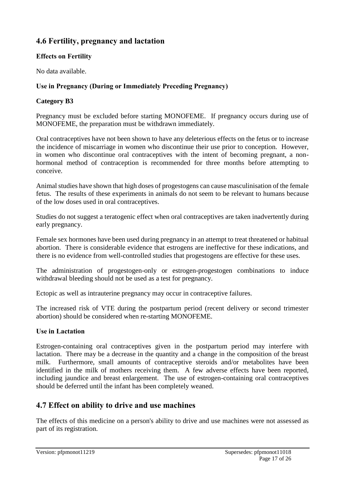# **4.6 Fertility, pregnancy and lactation**

### **Effects on Fertility**

No data available.

### **Use in Pregnancy (During or Immediately Preceding Pregnancy)**

### **Category B3**

Pregnancy must be excluded before starting MONOFEME. If pregnancy occurs during use of MONOFEME, the preparation must be withdrawn immediately.

Oral contraceptives have not been shown to have any deleterious effects on the fetus or to increase the incidence of miscarriage in women who discontinue their use prior to conception. However, in women who discontinue oral contraceptives with the intent of becoming pregnant, a nonhormonal method of contraception is recommended for three months before attempting to conceive.

Animal studies have shown that high doses of progestogens can cause masculinisation of the female fetus. The results of these experiments in animals do not seem to be relevant to humans because of the low doses used in oral contraceptives.

Studies do not suggest a teratogenic effect when oral contraceptives are taken inadvertently during early pregnancy.

Female sex hormones have been used during pregnancy in an attempt to treat threatened or habitual abortion. There is considerable evidence that estrogens are ineffective for these indications, and there is no evidence from well-controlled studies that progestogens are effective for these uses.

The administration of progestogen-only or estrogen-progestogen combinations to induce withdrawal bleeding should not be used as a test for pregnancy.

Ectopic as well as intrauterine pregnancy may occur in contraceptive failures.

The increased risk of VTE during the postpartum period (recent delivery or second trimester abortion) should be considered when re-starting MONOFEME.

### **Use in Lactation**

Estrogen-containing oral contraceptives given in the postpartum period may interfere with lactation. There may be a decrease in the quantity and a change in the composition of the breast milk. Furthermore, small amounts of contraceptive steroids and/or metabolites have been identified in the milk of mothers receiving them. A few adverse effects have been reported, including jaundice and breast enlargement. The use of estrogen-containing oral contraceptives should be deferred until the infant has been completely weaned.

# **4.7 Effect on ability to drive and use machines**

The effects of this medicine on a person's ability to drive and use machines were not assessed as part of its registration.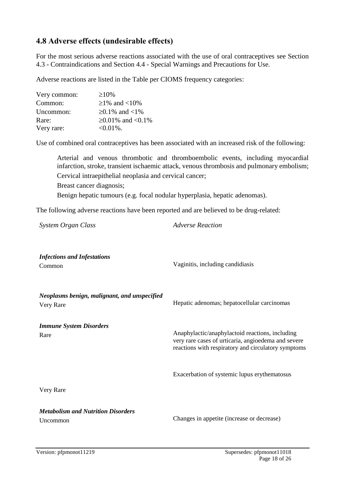# **4.8 Adverse effects (undesirable effects)**

For the most serious adverse reactions associated with the use of oral contraceptives see Section 4.3 - Contraindications and Section 4.4 - Special Warnings and Precautions for Use.

Adverse reactions are listed in the Table per CIOMS frequency categories:

| Very common: | $\geq 10\%$      |
|--------------|------------------|
| Common:      | $≥1\%$ and <10\% |
| Uncommon:    | ≥0.1% and <1%    |
| Rare:        | ≥0.01% and <0.1% |
| Very rare:   | $<0.01\%$ .      |

Use of combined oral contraceptives has been associated with an increased risk of the following:

Arterial and venous thrombotic and thromboembolic events, including myocardial infarction, stroke, transient ischaemic attack, venous thrombosis and pulmonary embolism; Cervical intraepithelial neoplasia and cervical cancer; Breast cancer diagnosis; Benign hepatic tumours (e.g. focal nodular hyperplasia, hepatic adenomas).

The following adverse reactions have been reported and are believed to be drug-related:

*System Organ Class Adverse Reaction*

*Infections and Infestations* Common Vaginitis, including candidiasis *Neoplasms benign, malignant, and unspecified* Very Rare Hepatic adenomas; hepatocellular carcinomas *Immune System Disorders* Rare Very Rare Anaphylactic/anaphylactoid reactions, including very rare cases of urticaria, angioedema and severe reactions with respiratory and circulatory symptoms Exacerbation of systemic lupus erythematosus *Metabolism and Nutrition Disorders* Uncommon Changes in appetite (increase or decrease)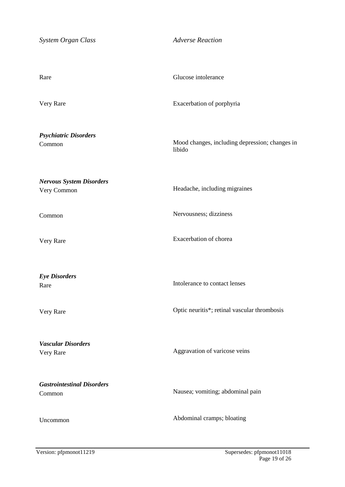| System Organ Class                             | <b>Adverse Reaction</b>                                  |
|------------------------------------------------|----------------------------------------------------------|
|                                                |                                                          |
| Rare                                           | Glucose intolerance                                      |
| Very Rare                                      | Exacerbation of porphyria                                |
| <b>Psychiatric Disorders</b><br>Common         | Mood changes, including depression; changes in<br>libido |
| <b>Nervous System Disorders</b><br>Very Common | Headache, including migraines                            |
| Common                                         | Nervousness; dizziness                                   |
| Very Rare                                      | Exacerbation of chorea                                   |
| <b>Eye Disorders</b><br>Rare                   | Intolerance to contact lenses                            |
| Very Rare                                      | Optic neuritis*; retinal vascular thrombosis             |
| <b>Vascular Disorders</b><br>Very Rare         | Aggravation of varicose veins                            |
| <b>Gastrointestinal Disorders</b><br>Common    | Nausea; vomiting; abdominal pain                         |
| Uncommon                                       | Abdominal cramps; bloating                               |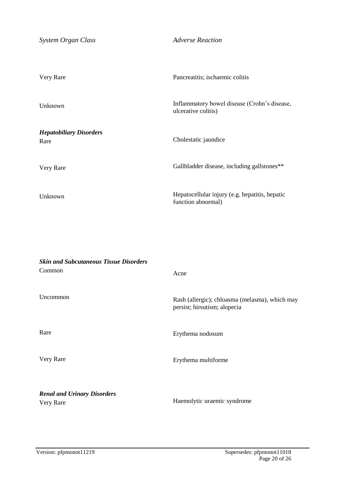| System Organ Class                     | <b>Adverse Reaction</b>                                              |
|----------------------------------------|----------------------------------------------------------------------|
| Very Rare                              | Pancreatitis; ischaemic colitis                                      |
| Unknown                                | Inflammatory bowel disease (Crohn's disease,<br>ulcerative colitis)  |
| <b>Hepatobiliary Disorders</b><br>Rare | Cholestatic jaundice                                                 |
| Very Rare                              | Gallbladder disease, including gallstones**                          |
| Unknown                                | Hepatocellular injury (e.g. hepatitis, hepatic<br>function abnormal) |

| <b>Skin and Subcutaneous Tissue Disorders</b>   |                                                                                |
|-------------------------------------------------|--------------------------------------------------------------------------------|
| Common                                          | Acne                                                                           |
| Uncommon                                        | Rash (allergic); chloasma (melasma), which may<br>persist; hirsutism; alopecia |
| Rare                                            | Erythema nodosum                                                               |
| Very Rare                                       | Erythema multiforme                                                            |
| <b>Renal and Urinary Disorders</b><br>Very Rare | Haemolytic uraemic syndrome                                                    |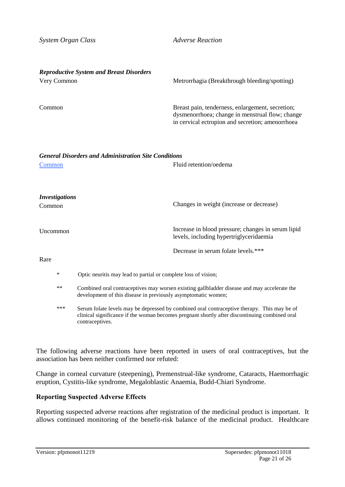| System Organ Class              |                                                                                                                                                                                                                 | <b>Adverse Reaction</b>                                                                                                                                 |
|---------------------------------|-----------------------------------------------------------------------------------------------------------------------------------------------------------------------------------------------------------------|---------------------------------------------------------------------------------------------------------------------------------------------------------|
| Very Common                     | <b>Reproductive System and Breast Disorders</b>                                                                                                                                                                 | Metrorrhagia (Breakthrough bleeding/spotting)                                                                                                           |
| Common                          |                                                                                                                                                                                                                 | Breast pain, tenderness, enlargement, secretion;<br>dysmenorrhoea; change in menstrual flow; change<br>in cervical ectropion and secretion; amenorrhoea |
| <b>Common</b>                   | <b>General Disorders and Administration Site Conditions</b>                                                                                                                                                     | Fluid retention/oedema                                                                                                                                  |
| <b>Investigations</b><br>Common |                                                                                                                                                                                                                 | Changes in weight (increase or decrease)                                                                                                                |
| Uncommon                        |                                                                                                                                                                                                                 | Increase in blood pressure; changes in serum lipid<br>levels, including hypertriglyceridaemia                                                           |
| Rare                            |                                                                                                                                                                                                                 | Decrease in serum folate levels.***                                                                                                                     |
| $\ast$                          | Optic neuritis may lead to partial or complete loss of vision;                                                                                                                                                  |                                                                                                                                                         |
| **                              | Combined oral contraceptives may worsen existing gallbladder disease and may accelerate the<br>development of this disease in previously asymptomatic women;                                                    |                                                                                                                                                         |
| ***                             | Serum folate levels may be depressed by combined oral contraceptive therapy. This may be of<br>clinical significance if the woman becomes pregnant shortly after discontinuing combined oral<br>contraceptives. |                                                                                                                                                         |

The following adverse reactions have been reported in users of oral contraceptives, but the association has been neither confirmed nor refuted:

Change in corneal curvature (steepening), Premenstrual-like syndrome, Cataracts, Haemorrhagic eruption, Cystitis-like syndrome, Megaloblastic Anaemia, Budd-Chiari Syndrome.

#### **Reporting Suspected Adverse Effects**

Reporting suspected adverse reactions after registration of the medicinal product is important. It allows continued monitoring of the benefit-risk balance of the medicinal product. Healthcare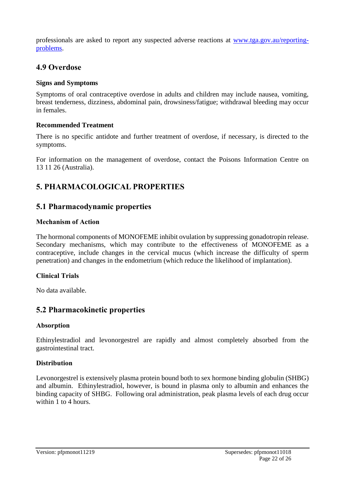professionals are asked to report any suspected adverse reactions at [www.tga.gov.au/reporting](http://www.tga.gov.au/reporting-problems)[problems.](http://www.tga.gov.au/reporting-problems)

# **4.9 Overdose**

### **Signs and Symptoms**

Symptoms of oral contraceptive overdose in adults and children may include nausea, vomiting, breast tenderness, dizziness, abdominal pain, drowsiness/fatigue; withdrawal bleeding may occur in females.

### **Recommended Treatment**

There is no specific antidote and further treatment of overdose, if necessary, is directed to the symptoms.

For information on the management of overdose, contact the Poisons Information Centre on 13 11 26 (Australia).

# **5. PHARMACOLOGICAL PROPERTIES**

# **5.1 Pharmacodynamic properties**

### **Mechanism of Action**

The hormonal components of MONOFEME inhibit ovulation by suppressing gonadotropin release. Secondary mechanisms, which may contribute to the effectiveness of MONOFEME as a contraceptive, include changes in the cervical mucus (which increase the difficulty of sperm penetration) and changes in the endometrium (which reduce the likelihood of implantation).

### **Clinical Trials**

No data available.

# **5.2 Pharmacokinetic properties**

#### **Absorption**

Ethinylestradiol and levonorgestrel are rapidly and almost completely absorbed from the gastrointestinal tract.

#### **Distribution**

Levonorgestrel is extensively plasma protein bound both to sex hormone binding globulin (SHBG) and albumin. Ethinylestradiol, however, is bound in plasma only to albumin and enhances the binding capacity of SHBG. Following oral administration, peak plasma levels of each drug occur within 1 to 4 hours.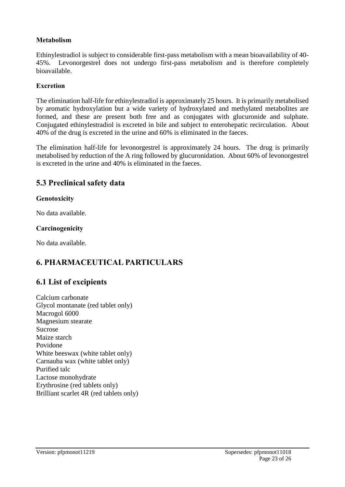### **Metabolism**

Ethinylestradiol is subject to considerable first-pass metabolism with a mean bioavailability of 40- 45%. Levonorgestrel does not undergo first-pass metabolism and is therefore completely bioavailable.

#### **Excretion**

The elimination half-life for ethinylestradiol is approximately 25 hours. It is primarily metabolised by aromatic hydroxylation but a wide variety of hydroxylated and methylated metabolites are formed, and these are present both free and as conjugates with glucuronide and sulphate. Conjugated ethinylestradiol is excreted in bile and subject to enterohepatic recirculation. About 40% of the drug is excreted in the urine and 60% is eliminated in the faeces.

The elimination half-life for levonorgestrel is approximately 24 hours. The drug is primarily metabolised by reduction of the A ring followed by glucuronidation. About 60% of levonorgestrel is excreted in the urine and 40% is eliminated in the faeces.

# **5.3 Preclinical safety data**

### **Genotoxicity**

No data available.

#### **Carcinogenicity**

No data available.

# **6. PHARMACEUTICAL PARTICULARS**

# **6.1 List of excipients**

Calcium carbonate Glycol montanate (red tablet only) Macrogol 6000 Magnesium stearate Sucrose Maize starch Povidone White beeswax (white tablet only) Carnauba wax (white tablet only) Purified talc Lactose monohydrate Erythrosine (red tablets only) Brilliant scarlet 4R (red tablets only)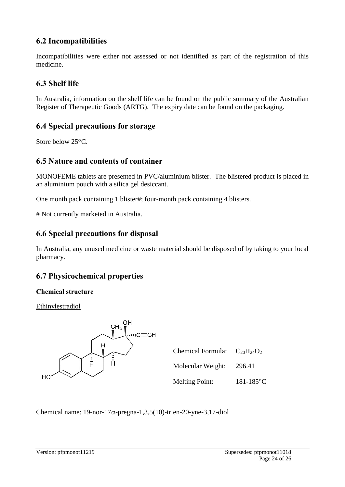# **6.2 Incompatibilities**

Incompatibilities were either not assessed or not identified as part of the registration of this medicine.

# **6.3 Shelf life**

In Australia, information on the shelf life can be found on the public summary of the Australian Register of Therapeutic Goods (ARTG). The expiry date can be found on the packaging.

# **6.4 Special precautions for storage**

Store below 25ºC.

# **6.5 Nature and contents of container**

MONOFEME tablets are presented in PVC/aluminium blister. The blistered product is placed in an aluminium pouch with a silica gel desiccant.

One month pack containing 1 blister#; four-month pack containing 4 blisters.

# Not currently marketed in Australia.

# **6.6 Special precautions for disposal**

In Australia, any unused medicine or waste material should be disposed of by taking to your local pharmacy.

# **6.7 Physicochemical properties**

### **Chemical structure**

Ethinylestradiol



| Chemical Formula: $C_{20}H_{24}O_2$ |                |
|-------------------------------------|----------------|
| Molecular Weight:                   | 296.41         |
| <b>Melting Point:</b>               | $181 - 185$ °C |

Chemical name:  $19$ -nor- $17\alpha$ -pregna-1,3,5(10)-trien-20-yne-3,17-diol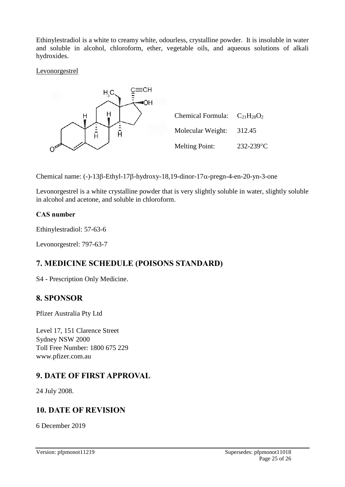Ethinylestradiol is a white to creamy white, odourless, crystalline powder. It is insoluble in water and soluble in alcohol, chloroform, ether, vegetable oils, and aqueous solutions of alkali hydroxides.

#### Levonorgestrel



Chemical name: (-)-13 $\beta$ -Ethyl-17 $\beta$ -hydroxy-18,19-dinor-17 $\alpha$ -pregn-4-en-20-yn-3-one

Levonorgestrel is a white crystalline powder that is very slightly soluble in water, slightly soluble in alcohol and acetone, and soluble in chloroform.

### **CAS number**

Ethinylestradiol: 57-63-6

Levonorgestrel: 797-63-7

# **7. MEDICINE SCHEDULE (POISONS STANDARD)**

S4 - Prescription Only Medicine.

# **8. SPONSOR**

Pfizer Australia Pty Ltd

Level 17, 151 Clarence Street Sydney NSW 2000 Toll Free Number: 1800 675 229 www.pfizer.com.au

# **9. DATE OF FIRST APPROVAL**

24 July 2008.

# **10. DATE OF REVISION**

6 December 2019